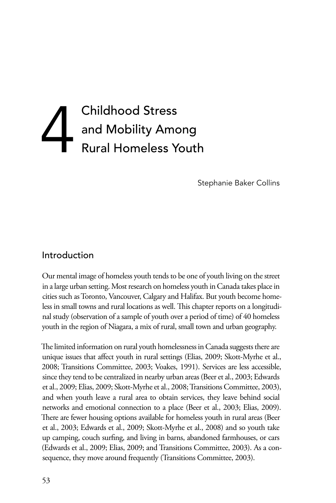# Childhood Stress<br>and Mobility Amo<br>Rural Homeless Yo and Mobility Among Rural Homeless Youth

Stephanie Baker Collins

#### Introduction

Our mental image of homeless youth tends to be one of youth living on the street in a large urban setting. Most research on homeless youth in Canada takes place in cities such as Toronto, Vancouver, Calgary and Halifax. But youth become homeless in small towns and rural locations as well. This chapter reports on a longitudinal study (observation of a sample of youth over a period of time) of 40 homeless youth in the region of Niagara, a mix of rural, small town and urban geography.

The limited information on rural youth homelessness in Canada suggests there are unique issues that affect youth in rural settings (Elias, 2009; Skott-Myrhe et al., 2008; Transitions Committee, 2003; Voakes, 1991). Services are less accessible, since they tend to be centralized in nearby urban areas (Beer et al., 2003; Edwards et al., 2009; Elias, 2009; Skott-Myrhe et al., 2008; Transitions Committee, 2003), and when youth leave a rural area to obtain services, they leave behind social networks and emotional connection to a place (Beer et al., 2003; Elias, 2009). There are fewer housing options available for homeless youth in rural areas (Beer et al., 2003; Edwards et al., 2009; Skott-Myrhe et al., 2008) and so youth take up camping, couch surfing, and living in barns, abandoned farmhouses, or cars (Edwards et al., 2009; Elias, 2009; and Transitions Committee, 2003). As a consequence, they move around frequently (Transitions Committee, 2003).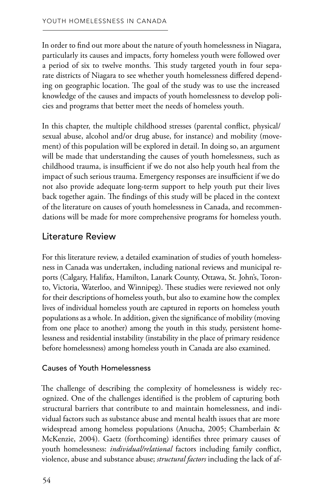In order to find out more about the nature of youth homelessness in Niagara, particularly its causes and impacts, forty homeless youth were followed over a period of six to twelve months. This study targeted youth in four separate districts of Niagara to see whether youth homelessness differed depending on geographic location. The goal of the study was to use the increased knowledge of the causes and impacts of youth homelessness to develop policies and programs that better meet the needs of homeless youth.

In this chapter, the multiple childhood stresses (parental conflict, physical/ sexual abuse, alcohol and/or drug abuse, for instance) and mobility (movement) of this population will be explored in detail. In doing so, an argument will be made that understanding the causes of youth homelessness, such as childhood trauma, is insufficient if we do not also help youth heal from the impact of such serious trauma. Emergency responses are insufficient if we do not also provide adequate long-term support to help youth put their lives back together again. The findings of this study will be placed in the context of the literature on causes of youth homelessness in Canada, and recommendations will be made for more comprehensive programs for homeless youth.

## Literature Review

For this literature review, a detailed examination of studies of youth homelessness in Canada was undertaken, including national reviews and municipal reports (Calgary, Halifax, Hamilton, Lanark County, Ottawa, St. John's, Toronto, Victoria, Waterloo, and Winnipeg). These studies were reviewed not only for their descriptions of homeless youth, but also to examine how the complex lives of individual homeless youth are captured in reports on homeless youth populations as a whole. In addition, given the significance of mobility (moving from one place to another) among the youth in this study, persistent homelessness and residential instability (instability in the place of primary residence before homelessness) among homeless youth in Canada are also examined.

#### Causes of Youth Homelessness

The challenge of describing the complexity of homelessness is widely recognized. One of the challenges identified is the problem of capturing both structural barriers that contribute to and maintain homelessness, and individual factors such as substance abuse and mental health issues that are more widespread among homeless populations (Anucha, 2005; Chamberlain & McKenzie, 2004). Gaetz (forthcoming) identifies three primary causes of youth homelessness: *individual/relational* factors including family conflict, violence, abuse and substance abuse; *structural factors* including the lack of af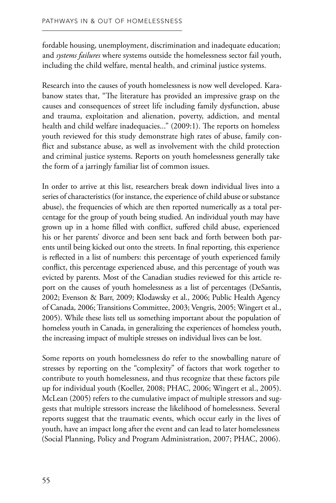fordable housing, unemployment, discrimination and inadequate education; and *systems failures* where systems outside the homelessness sector fail youth, including the child welfare, mental health, and criminal justice systems.

Research into the causes of youth homelessness is now well developed. Karabanow states that, "The literature has provided an impressive grasp on the causes and consequences of street life including family dysfunction, abuse and trauma, exploitation and alienation, poverty, addiction, and mental health and child welfare inadequacies..." (2009:1). The reports on homeless youth reviewed for this study demonstrate high rates of abuse, family conflict and substance abuse, as well as involvement with the child protection and criminal justice systems. Reports on youth homelessness generally take the form of a jarringly familiar list of common issues.

In order to arrive at this list, researchers break down individual lives into a series of characteristics (for instance, the experience of child abuse or substance abuse), the frequencies of which are then reported numerically as a total percentage for the group of youth being studied. An individual youth may have grown up in a home filled with conflict, suffered child abuse, experienced his or her parents' divorce and been sent back and forth between both parents until being kicked out onto the streets. In final reporting, this experience is reflected in a list of numbers: this percentage of youth experienced family conflict, this percentage experienced abuse, and this percentage of youth was evicted by parents. Most of the Canadian studies reviewed for this article report on the causes of youth homelessness as a list of percentages (DeSantis, 2002; Evenson & Barr, 2009; Klodawsky et al., 2006; Public Health Agency of Canada, 2006; Transitions Committee, 2003; Vengris, 2005; Wingert et al., 2005). While these lists tell us something important about the population of homeless youth in Canada, in generalizing the experiences of homeless youth, the increasing impact of multiple stresses on individual lives can be lost.

Some reports on youth homelessness do refer to the snowballing nature of stresses by reporting on the "complexity" of factors that work together to contribute to youth homelessness, and thus recognize that these factors pile up for individual youth (Koeller, 2008; PHAC, 2006; Wingert et al., 2005). McLean (2005) refers to the cumulative impact of multiple stressors and suggests that multiple stressors increase the likelihood of homelessness. Several reports suggest that the traumatic events, which occur early in the lives of youth, have an impact long after the event and can lead to later homelessness (Social Planning, Policy and Program Administration, 2007; PHAC, 2006).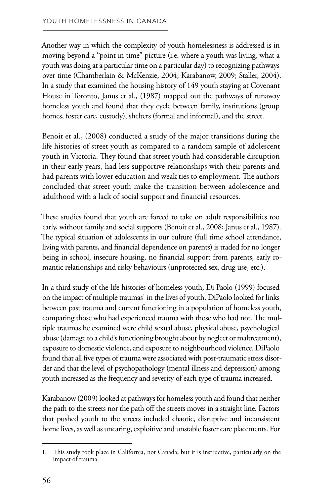Another way in which the complexity of youth homelessness is addressed is in moving beyond a "point in time" picture (i.e. where a youth was living, what a youth was doing at a particular time on a particular day) to recognizing pathways over time (Chamberlain & McKenzie, 2004; Karabanow, 2009; Staller, 2004). In a study that examined the housing history of 149 youth staying at Covenant House in Toronto, Janus et al., (1987) mapped out the pathways of runaway homeless youth and found that they cycle between family, institutions (group homes, foster care, custody), shelters (formal and informal), and the street.

Benoit et al., (2008) conducted a study of the major transitions during the life histories of street youth as compared to a random sample of adolescent youth in Victoria. They found that street youth had considerable disruption in their early years, had less supportive relationships with their parents and had parents with lower education and weak ties to employment. The authors concluded that street youth make the transition between adolescence and adulthood with a lack of social support and financial resources.

These studies found that youth are forced to take on adult responsibilities too early, without family and social supports (Benoit et al., 2008; Janus et al., 1987). The typical situation of adolescents in our culture (full time school attendance, living with parents, and financial dependence on parents) is traded for no longer being in school, insecure housing, no financial support from parents, early romantic relationships and risky behaviours (unprotected sex, drug use, etc.).

In a third study of the life histories of homeless youth, Di Paolo (1999) focused on the impact of multiple traumas<sup>1</sup> in the lives of youth. DiPaolo looked for links between past trauma and current functioning in a population of homeless youth, comparing those who had experienced trauma with those who had not. The multiple traumas he examined were child sexual abuse, physical abuse, psychological abuse (damage to a child's functioning brought about by neglect or maltreatment), exposure to domestic violence, and exposure to neighbourhood violence. DiPaolo found that all five types of trauma were associated with post-traumatic stress disorder and that the level of psychopathology (mental illness and depression) among youth increased as the frequency and severity of each type of trauma increased.

Karabanow (2009) looked at pathways for homeless youth and found that neither the path to the streets nor the path off the streets moves in a straight line. Factors that pushed youth to the streets included chaotic, disruptive and inconsistent home lives, as well as uncaring, exploitive and unstable foster care placements. For

<sup>1.</sup> This study took place in California, not Canada, but it is instructive, particularly on the impact of trauma.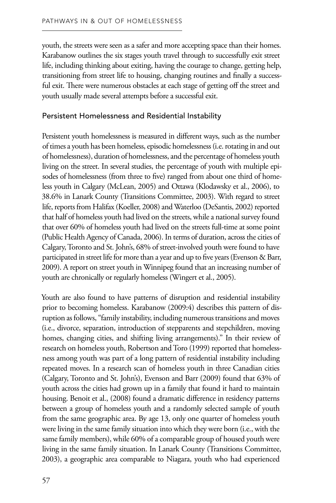youth, the streets were seen as a safer and more accepting space than their homes. Karabanow outlines the six stages youth travel through to successfully exit street life, including thinking about exiting, having the courage to change, getting help, transitioning from street life to housing, changing routines and finally a successful exit. There were numerous obstacles at each stage of getting off the street and youth usually made several attempts before a successful exit.

#### Persistent Homelessness and Residential Instability

Persistent youth homelessness is measured in different ways, such as the number of times a youth has been homeless, episodic homelessness (i.e. rotating in and out of homelessness), duration of homelessness, and the percentage of homeless youth living on the street. In several studies, the percentage of youth with multiple episodes of homelessness (from three to five) ranged from about one third of homeless youth in Calgary (McLean, 2005) and Ottawa (Klodawsky et al., 2006), to 38.6% in Lanark County (Transitions Committee, 2003). With regard to street life, reports from Halifax (Koeller, 2008) and Waterloo (DeSantis, 2002) reported that half of homeless youth had lived on the streets, while a national survey found that over 60% of homeless youth had lived on the streets full-time at some point (Public Health Agency of Canada, 2006). In terms of duration, across the cities of Calgary, Toronto and St. John's, 68% of street-involved youth were found to have participated in street life for more than a year and up to five years (Evenson & Barr, 2009). A report on street youth in Winnipeg found that an increasing number of youth are chronically or regularly homeless (Wingert et al., 2005).

Youth are also found to have patterns of disruption and residential instability prior to becoming homeless. Karabanow (2009:4) describes this pattern of disruption as follows, "family instability, including numerous transitions and moves (i.e., divorce, separation, introduction of stepparents and stepchildren, moving homes, changing cities, and shifting living arrangements)." In their review of research on homeless youth, Robertson and Toro (1999) reported that homelessness among youth was part of a long pattern of residential instability including repeated moves. In a research scan of homeless youth in three Canadian cities (Calgary, Toronto and St. John's), Evenson and Barr (2009) found that 63% of youth across the cities had grown up in a family that found it hard to maintain housing. Benoit et al., (2008) found a dramatic difference in residency patterns between a group of homeless youth and a randomly selected sample of youth from the same geographic area. By age 13, only one quarter of homeless youth were living in the same family situation into which they were born (i.e., with the same family members), while 60% of a comparable group of housed youth were living in the same family situation. In Lanark County (Transitions Committee, 2003), a geographic area comparable to Niagara, youth who had experienced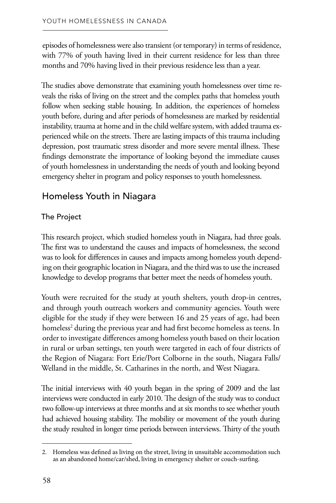episodes of homelessness were also transient (or temporary) in terms of residence, with 77% of youth having lived in their current residence for less than three months and 70% having lived in their previous residence less than a year.

The studies above demonstrate that examining youth homelessness over time reveals the risks of living on the street and the complex paths that homeless youth follow when seeking stable housing. In addition, the experiences of homeless youth before, during and after periods of homelessness are marked by residential instability, trauma at home and in the child welfare system, with added trauma experienced while on the streets. There are lasting impacts of this trauma including depression, post traumatic stress disorder and more severe mental illness. These findings demonstrate the importance of looking beyond the immediate causes of youth homelessness in understanding the needs of youth and looking beyond emergency shelter in program and policy responses to youth homelessness.

# Homeless Youth in Niagara

#### The Project

This research project, which studied homeless youth in Niagara, had three goals. The first was to understand the causes and impacts of homelessness, the second was to look for differences in causes and impacts among homeless youth depending on their geographic location in Niagara, and the third was to use the increased knowledge to develop programs that better meet the needs of homeless youth.

Youth were recruited for the study at youth shelters, youth drop-in centres, and through youth outreach workers and community agencies. Youth were eligible for the study if they were between 16 and 25 years of age, had been homeless<sup>2</sup> during the previous year and had first become homeless as teens. In order to investigate differences among homeless youth based on their location in rural or urban settings, ten youth were targeted in each of four districts of the Region of Niagara: Fort Erie/Port Colborne in the south, Niagara Falls/ Welland in the middle, St. Catharines in the north, and West Niagara.

The initial interviews with 40 youth began in the spring of 2009 and the last interviews were conducted in early 2010. The design of the study was to conduct two follow-up interviews at three months and at six months to see whether youth had achieved housing stability. The mobility or movement of the youth during the study resulted in longer time periods between interviews. Thirty of the youth

<sup>2.</sup> Homeless was defined as living on the street, living in unsuitable accommodation such as an abandoned home/car/shed, living in emergency shelter or couch-surfing.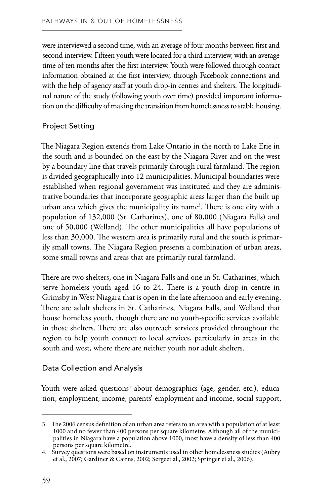were interviewed a second time, with an average of four months between first and second interview. Fifteen youth were located for a third interview, with an average time of ten months after the first interview. Youth were followed through contact information obtained at the first interview, through Facebook connections and with the help of agency staff at youth drop-in centres and shelters. The longitudinal nature of the study (following youth over time) provided important information on the difficulty of making the transition from homelessness to stable housing.

#### Project Setting

The Niagara Region extends from Lake Ontario in the north to Lake Erie in the south and is bounded on the east by the Niagara River and on the west by a boundary line that travels primarily through rural farmland. The region is divided geographically into 12 municipalities. Municipal boundaries were established when regional government was instituted and they are administrative boundaries that incorporate geographic areas larger than the built up urban area which gives the municipality its name<sup>3</sup>. There is one city with a population of 132,000 (St. Catharines), one of 80,000 (Niagara Falls) and one of 50,000 (Welland). The other municipalities all have populations of less than 30,000. The western area is primarily rural and the south is primarily small towns. The Niagara Region presents a combination of urban areas, some small towns and areas that are primarily rural farmland.

There are two shelters, one in Niagara Falls and one in St. Catharines, which serve homeless youth aged 16 to 24. There is a youth drop-in centre in Grimsby in West Niagara that is open in the late afternoon and early evening. There are adult shelters in St. Catharines, Niagara Falls, and Welland that house homeless youth, though there are no youth-specific services available in those shelters. There are also outreach services provided throughout the region to help youth connect to local services, particularly in areas in the south and west, where there are neither youth nor adult shelters.

#### Data Collection and Analysis

Youth were asked questions<sup>4</sup> about demographics (age, gender, etc.), education, employment, income, parents' employment and income, social support,

<sup>3.</sup> The 2006 census definition of an urban area refers to an area with a population of at least 1000 and no fewer than 400 persons per square kilometre. Although all of the municipalities in Niagara have a population above 1000, most have a density of less than 400 persons per square kilometre.

 4. Survey questions were based on instruments used in other homelessness studies (Aubry et al., 2007; Gardiner & Cairns, 2002; Sergeet al., 2002; Springer et al., 2006).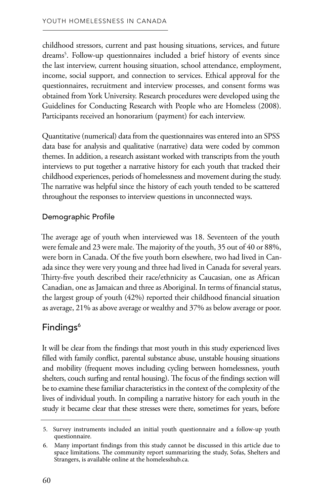childhood stressors, current and past housing situations, services, and future dreams5 . Follow-up questionnaires included a brief history of events since the last interview, current housing situation, school attendance, employment, income, social support, and connection to services. Ethical approval for the questionnaires, recruitment and interview processes, and consent forms was obtained from York University. Research procedures were developed using the Guidelines for Conducting Research with People who are Homeless (2008). Participants received an honorarium (payment) for each interview.

Quantitative (numerical) data from the questionnaires was entered into an SPSS data base for analysis and qualitative (narrative) data were coded by common themes. In addition, a research assistant worked with transcripts from the youth interviews to put together a narrative history for each youth that tracked their childhood experiences, periods of homelessness and movement during the study. The narrative was helpful since the history of each youth tended to be scattered throughout the responses to interview questions in unconnected ways.

#### Demographic Profile

The average age of youth when interviewed was 18. Seventeen of the youth were female and 23 were male. The majority of the youth, 35 out of 40 or 88%, were born in Canada. Of the five youth born elsewhere, two had lived in Canada since they were very young and three had lived in Canada for several years. Thirty-five youth described their race/ethnicity as Caucasian, one as African Canadian, one as Jamaican and three as Aboriginal. In terms of financial status, the largest group of youth (42%) reported their childhood financial situation as average, 21% as above average or wealthy and 37% as below average or poor.

## Findings<sup>6</sup>

It will be clear from the findings that most youth in this study experienced lives filled with family conflict, parental substance abuse, unstable housing situations and mobility (frequent moves including cycling between homelessness, youth shelters, couch surfing and rental housing). The focus of the findings section will be to examine these familiar characteristics in the context of the complexity of the lives of individual youth. In compiling a narrative history for each youth in the study it became clear that these stresses were there, sometimes for years, before

<sup>5.</sup> Survey instruments included an initial youth questionnaire and a follow-up youth questionnaire.

<sup>6.</sup>  Many important findings from this study cannot be discussed in this article due to space limitations. The community report summarizing the study, Sofas, Shelters and Strangers, is available online at the homelesshub.ca.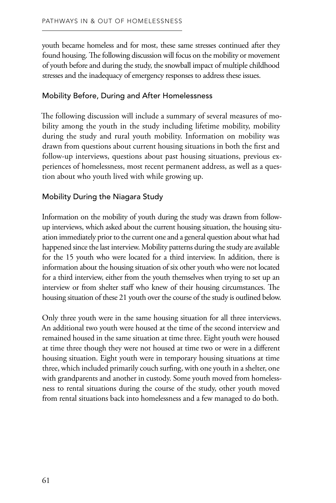youth became homeless and for most, these same stresses continued after they found housing. The following discussion will focus on the mobility or movement of youth before and during the study, the snowball impact of multiple childhood stresses and the inadequacy of emergency responses to address these issues.

#### Mobility Before, During and After Homelessness

The following discussion will include a summary of several measures of mobility among the youth in the study including lifetime mobility, mobility during the study and rural youth mobility. Information on mobility was drawn from questions about current housing situations in both the first and follow-up interviews, questions about past housing situations, previous experiences of homelessness, most recent permanent address, as well as a question about who youth lived with while growing up.

#### Mobility During the Niagara Study

Information on the mobility of youth during the study was drawn from followup interviews, which asked about the current housing situation, the housing situation immediately prior to the current one and a general question about what had happened since the last interview. Mobility patterns during the study are available for the 15 youth who were located for a third interview. In addition, there is information about the housing situation of six other youth who were not located for a third interview, either from the youth themselves when trying to set up an interview or from shelter staff who knew of their housing circumstances. The housing situation of these 21 youth over the course of the study is outlined below.

Only three youth were in the same housing situation for all three interviews. An additional two youth were housed at the time of the second interview and remained housed in the same situation at time three. Eight youth were housed at time three though they were not housed at time two or were in a different housing situation. Eight youth were in temporary housing situations at time three, which included primarily couch surfing, with one youth in a shelter, one with grandparents and another in custody. Some youth moved from homelessness to rental situations during the course of the study, other youth moved from rental situations back into homelessness and a few managed to do both.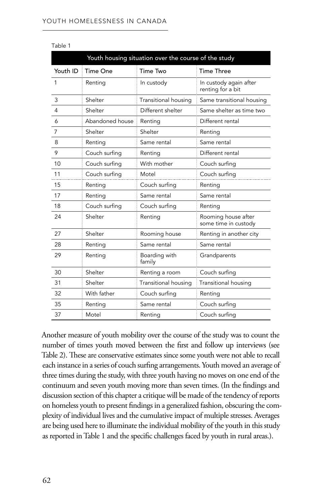| Youth housing situation over the course of the study |                 |                         |                                             |  |  |  |
|------------------------------------------------------|-----------------|-------------------------|---------------------------------------------|--|--|--|
| Youth ID                                             | Time One        | Time Two                | <b>Time Three</b>                           |  |  |  |
| 1                                                    | Renting         | In custody              | In custody again after<br>renting for a bit |  |  |  |
| 3                                                    | Shelter         | Transitional housing    | Same transitional housing                   |  |  |  |
| 4                                                    | Shelter         | Different shelter       | Same shelter as time two                    |  |  |  |
| 6                                                    | Abandoned house | Renting                 | Different rental                            |  |  |  |
| 7                                                    | Shelter         | Shelter                 | Renting                                     |  |  |  |
| 8                                                    | Renting         | Same rental             | Same rental                                 |  |  |  |
| 9                                                    | Couch surfing   | Renting                 | Different rental                            |  |  |  |
| 10                                                   | Couch surfing   | With mother             | Couch surfing                               |  |  |  |
| 11                                                   | Couch surfing   | Motel                   | Couch surfing                               |  |  |  |
| 15                                                   | Renting         | Couch surfing           | Renting                                     |  |  |  |
| 17                                                   | Renting         | Same rental             | Same rental                                 |  |  |  |
| 18                                                   | Couch surfing   | Couch surfing           | Renting                                     |  |  |  |
| 24                                                   | Shelter         | Renting                 | Rooming house after<br>some time in custody |  |  |  |
| 27                                                   | Shelter         | Rooming house           | Renting in another city                     |  |  |  |
| 28                                                   | Renting         | Same rental             | Same rental                                 |  |  |  |
| 29                                                   | Renting         | Boarding with<br>family | Grandparents                                |  |  |  |
| 30                                                   | Shelter         | Renting a room          | Couch surfing                               |  |  |  |
| 31                                                   | Shelter         | Transitional housing    | Transitional housing                        |  |  |  |
| 32                                                   | With father     | Couch surfing           | Renting                                     |  |  |  |
| 35                                                   | Renting         | Same rental             | Couch surfing                               |  |  |  |
| 37                                                   | Motel           | Renting                 | Couch surfing                               |  |  |  |

Table 1

Another measure of youth mobility over the course of the study was to count the number of times youth moved between the first and follow up interviews (see Table 2). These are conservative estimates since some youth were not able to recall each instance in a series of couch surfing arrangements. Youth moved an average of three times during the study, with three youth having no moves on one end of the continuum and seven youth moving more than seven times. (In the findings and discussion section of this chapter a critique will be made of the tendency of reports on homeless youth to present findings in a generalized fashion, obscuring the complexity of individual lives and the cumulative impact of multiple stresses. Averages are being used here to illuminate the individual mobility of the youth in this study as reported in Table 1 and the specific challenges faced by youth in rural areas.).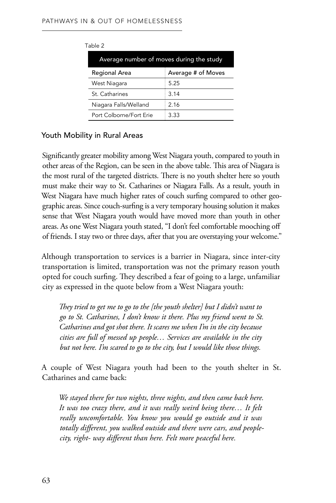| Table 2 |                                          |                    |  |  |  |
|---------|------------------------------------------|--------------------|--|--|--|
|         | Average number of moves during the study |                    |  |  |  |
|         | Regional Area                            | Average # of Moves |  |  |  |
|         | West Niagara                             | 5.25               |  |  |  |
|         | St Catharines                            | 3.14               |  |  |  |
|         | Niagara Falls/Welland                    | 2 16               |  |  |  |
|         | Port Colborne/Fort Erie                  | 3.33               |  |  |  |

#### Youth Mobility in Rural Areas

Significantly greater mobility among West Niagara youth, compared to youth in other areas of the Region, can be seen in the above table. This area of Niagara is the most rural of the targeted districts. There is no youth shelter here so youth must make their way to St. Catharines or Niagara Falls. As a result, youth in West Niagara have much higher rates of couch surfing compared to other geographic areas. Since couch-surfing is a very temporary housing solution it makes sense that West Niagara youth would have moved more than youth in other areas. As one West Niagara youth stated, "I don't feel comfortable mooching off of friends. I stay two or three days, after that you are overstaying your welcome."

Although transportation to services is a barrier in Niagara, since inter-city transportation is limited, transportation was not the primary reason youth opted for couch surfing. They described a fear of going to a large, unfamiliar city as expressed in the quote below from a West Niagara youth:

*They tried to get me to go to the [the youth shelter] but I didn't want to go to St. Catharines, I don't know it there. Plus my friend went to St. Catharines and got shot there. It scares me when I'm in the city because cities are full of messed up people… Services are available in the city but not here. I'm scared to go to the city, but I would like those things.* 

A couple of West Niagara youth had been to the youth shelter in St. Catharines and came back:

*We stayed there for two nights, three nights, and then came back here. It was too crazy there, and it was really weird being there… It felt really uncomfortable. You know you would go outside and it was totally different, you walked outside and there were cars, and peoplecity, right- way different than here. Felt more peaceful here.*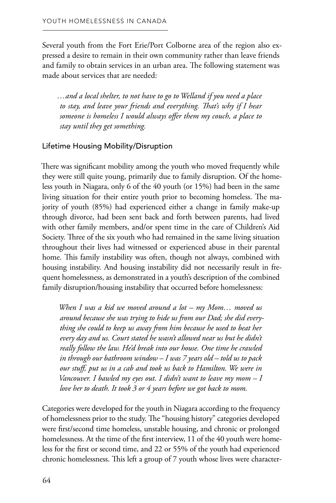Several youth from the Fort Erie/Port Colborne area of the region also expressed a desire to remain in their own community rather than leave friends and family to obtain services in an urban area. The following statement was made about services that are needed:

*…and a local shelter, to not have to go to Welland if you need a place to stay, and leave your friends and everything. That's why if I hear someone is homeless I would always offer them my couch, a place to stay until they get something.* 

#### Lifetime Housing Mobility/Disruption

There was significant mobility among the youth who moved frequently while they were still quite young, primarily due to family disruption. Of the homeless youth in Niagara, only 6 of the 40 youth (or 15%) had been in the same living situation for their entire youth prior to becoming homeless. The majority of youth (85%) had experienced either a change in family make-up through divorce, had been sent back and forth between parents, had lived with other family members, and/or spent time in the care of Children's Aid Society. Three of the six youth who had remained in the same living situation throughout their lives had witnessed or experienced abuse in their parental home. This family instability was often, though not always, combined with housing instability. And housing instability did not necessarily result in frequent homelessness, as demonstrated in a youth's description of the combined family disruption/housing instability that occurred before homelessness:

*When I was a kid we moved around a lot – my Mom… moved us around because she was trying to hide us from our Dad; she did everything she could to keep us away from him because he used to beat her every day and us. Court stated he wasn't allowed near us but he didn't really follow the law. He'd break into our house. One time he crawled in through our bathroom window – I was 7 years old – told us to pack our stuff, put us in a cab and took us back to Hamilton. We were in Vancouver. I bawled my eyes out. I didn't want to leave my mom – I love her to death. It took 3 or 4 years before we got back to mom.* 

Categories were developed for the youth in Niagara according to the frequency of homelessness prior to the study. The "housing history" categories developed were first/second time homeless, unstable housing, and chronic or prolonged homelessness. At the time of the first interview, 11 of the 40 youth were homeless for the first or second time, and 22 or 55% of the youth had experienced chronic homelessness. This left a group of 7 youth whose lives were character-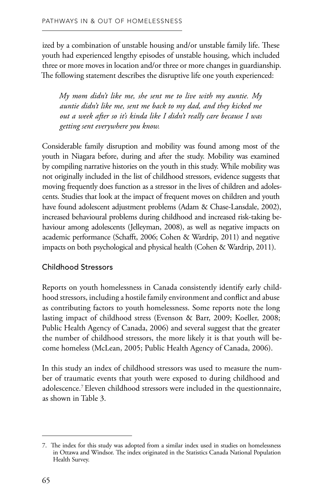ized by a combination of unstable housing and/or unstable family life. These youth had experienced lengthy episodes of unstable housing, which included three or more moves in location and/or three or more changes in guardianship. The following statement describes the disruptive life one youth experienced:

*My mom didn't like me, she sent me to live with my auntie. My auntie didn't like me, sent me back to my dad, and they kicked me out a week after so it's kinda like I didn't really care because I was getting sent everywhere you know.* 

Considerable family disruption and mobility was found among most of the youth in Niagara before, during and after the study. Mobility was examined by compiling narrative histories on the youth in this study. While mobility was not originally included in the list of childhood stressors, evidence suggests that moving frequently does function as a stressor in the lives of children and adolescents. Studies that look at the impact of frequent moves on children and youth have found adolescent adjustment problems (Adam & Chase-Lansdale, 2002), increased behavioural problems during childhood and increased risk-taking behaviour among adolescents (Jelleyman, 2008), as well as negative impacts on academic performance (Schafft, 2006; Cohen & Wardrip, 2011) and negative impacts on both psychological and physical health (Cohen & Wardrip, 2011).

#### Childhood Stressors

Reports on youth homelessness in Canada consistently identify early childhood stressors, including a hostile family environment and conflict and abuse as contributing factors to youth homelessness. Some reports note the long lasting impact of childhood stress (Evenson & Barr, 2009; Koeller, 2008; Public Health Agency of Canada, 2006) and several suggest that the greater the number of childhood stressors, the more likely it is that youth will become homeless (McLean, 2005; Public Health Agency of Canada, 2006).

In this study an index of childhood stressors was used to measure the number of traumatic events that youth were exposed to during childhood and adolescence.7 Eleven childhood stressors were included in the questionnaire, as shown in Table 3.

<sup>7.</sup> The index for this study was adopted from a similar index used in studies on homelessness in Ottawa and Windsor. The index originated in the Statistics Canada National Population Health Survey.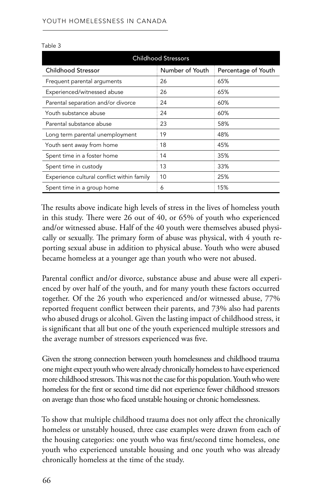| <b>Childhood Stressors</b>                 |                 |                     |  |  |
|--------------------------------------------|-----------------|---------------------|--|--|
| Childhood Stressor                         | Number of Youth | Percentage of Youth |  |  |
| Frequent parental arguments                | 26              | 65%                 |  |  |
| Experienced/witnessed abuse                | 26              | 65%                 |  |  |
| Parental separation and/or divorce         | 24              | 60%                 |  |  |
| Youth substance abuse                      | 24              | 60%                 |  |  |
| Parental substance abuse                   | 23              | 58%                 |  |  |
| Long term parental unemployment            | 19              | 48%                 |  |  |
| Youth sent away from home                  | 18              | 45%                 |  |  |
| Spent time in a foster home                | 14              | 35%                 |  |  |
| Spent time in custody                      | 13              | 33%                 |  |  |
| Experience cultural conflict within family | 10              | 25%                 |  |  |
| Spent time in a group home                 | 6               | 15%                 |  |  |

Table 3

The results above indicate high levels of stress in the lives of homeless youth in this study. There were 26 out of 40, or 65% of youth who experienced and/or witnessed abuse. Half of the 40 youth were themselves abused physically or sexually. The primary form of abuse was physical, with 4 youth reporting sexual abuse in addition to physical abuse. Youth who were abused became homeless at a younger age than youth who were not abused.

Parental conflict and/or divorce, substance abuse and abuse were all experienced by over half of the youth, and for many youth these factors occurred together. Of the 26 youth who experienced and/or witnessed abuse, 77% reported frequent conflict between their parents, and 73% also had parents who abused drugs or alcohol. Given the lasting impact of childhood stress, it is significant that all but one of the youth experienced multiple stressors and the average number of stressors experienced was five.

Given the strong connection between youth homelessness and childhood trauma one might expect youth who were already chronically homeless to have experienced more childhood stressors. This was not the case for this population. Youth who were homeless for the first or second time did not experience fewer childhood stressors on average than those who faced unstable housing or chronic homelessness.

To show that multiple childhood trauma does not only affect the chronically homeless or unstably housed, three case examples were drawn from each of the housing categories: one youth who was first/second time homeless, one youth who experienced unstable housing and one youth who was already chronically homeless at the time of the study.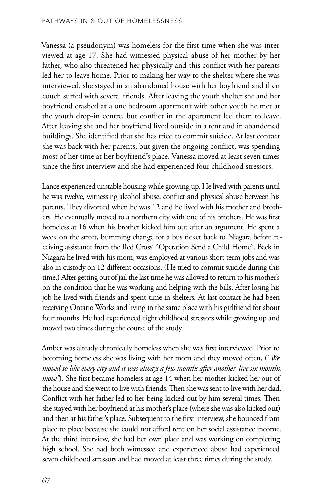Vanessa (a pseudonym) was homeless for the first time when she was interviewed at age 17. She had witnessed physical abuse of her mother by her father, who also threatened her physically and this conflict with her parents led her to leave home. Prior to making her way to the shelter where she was interviewed, she stayed in an abandoned house with her boyfriend and then couch surfed with several friends. After leaving the youth shelter she and her boyfriend crashed at a one bedroom apartment with other youth he met at the youth drop-in centre, but conflict in the apartment led them to leave. After leaving she and her boyfriend lived outside in a tent and in abandoned buildings. She identified that she has tried to commit suicide. At last contact she was back with her parents, but given the ongoing conflict, was spending most of her time at her boyfriend's place. Vanessa moved at least seven times since the first interview and she had experienced four childhood stressors.

Lance experienced unstable housing while growing up. He lived with parents until he was twelve, witnessing alcohol abuse, conflict and physical abuse between his parents. They divorced when he was 12 and he lived with his mother and brothers. He eventually moved to a northern city with one of his brothers. He was first homeless at 16 when his brother kicked him out after an argument. He spent a week on the street, bumming change for a bus ticket back to Niagara before receiving assistance from the Red Cross' "Operation Send a Child Home". Back in Niagara he lived with his mom, was employed at various short term jobs and was also in custody on 12 different occasions. (He tried to commit suicide during this time.) After getting out of jail the last time he was allowed to return to his mother's on the condition that he was working and helping with the bills. After losing his job he lived with friends and spent time in shelters. At last contact he had been receiving Ontario Works and living in the same place with his girlfriend for about four months. He had experienced eight childhood stressors while growing up and moved two times during the course of the study.

Amber was already chronically homeless when she was first interviewed. Prior to becoming homeless she was living with her mom and they moved often, (*"We moved to like every city and it was always a few months after another, live six months, move"*). She first became homeless at age 14 when her mother kicked her out of the house and she went to live with friends. Then she was sent to live with her dad. Conflict with her father led to her being kicked out by him several times. Then she stayed with her boyfriend at his mother's place (where she was also kicked out) and then at his father's place. Subsequent to the first interview, she bounced from place to place because she could not afford rent on her social assistance income. At the third interview, she had her own place and was working on completing high school. She had both witnessed and experienced abuse had experienced seven childhood stressors and had moved at least three times during the study.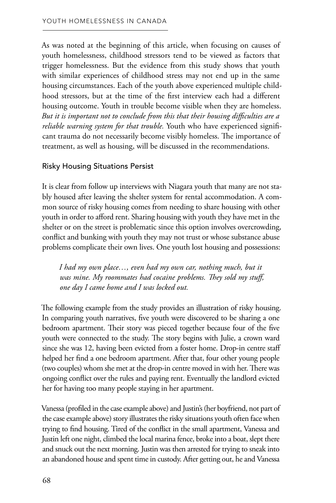As was noted at the beginning of this article, when focusing on causes of youth homelessness, childhood stressors tend to be viewed as factors that trigger homelessness. But the evidence from this study shows that youth with similar experiences of childhood stress may not end up in the same housing circumstances. Each of the youth above experienced multiple childhood stressors, but at the time of the first interview each had a different housing outcome. Youth in trouble become visible when they are homeless. *But it is important not to conclude from this that their housing difficulties are a reliable warning system for that trouble.* Youth who have experienced significant trauma do not necessarily become visibly homeless. The importance of treatment, as well as housing, will be discussed in the recommendations.

#### Risky Housing Situations Persist

It is clear from follow up interviews with Niagara youth that many are not stably housed after leaving the shelter system for rental accommodation. A common source of risky housing comes from needing to share housing with other youth in order to afford rent. Sharing housing with youth they have met in the shelter or on the street is problematic since this option involves overcrowding, conflict and bunking with youth they may not trust or whose substance abuse problems complicate their own lives. One youth lost housing and possessions:

*I had my own place…, even had my own car, nothing much, but it was mine. My roommates had cocaine problems. They sold my stuff, one day I came home and I was locked out.* 

The following example from the study provides an illustration of risky housing. In comparing youth narratives, five youth were discovered to be sharing a one bedroom apartment. Their story was pieced together because four of the five youth were connected to the study. The story begins with Julie, a crown ward since she was 12, having been evicted from a foster home. Drop-in centre staff helped her find a one bedroom apartment. After that, four other young people (two couples) whom she met at the drop-in centre moved in with her. There was ongoing conflict over the rules and paying rent. Eventually the landlord evicted her for having too many people staying in her apartment.

Vanessa (profiled in the case example above) and Justin's (her boyfriend, not part of the case example above) story illustrates the risky situations youth often face when trying to find housing. Tired of the conflict in the small apartment, Vanessa and Justin left one night, climbed the local marina fence, broke into a boat, slept there and snuck out the next morning. Justin was then arrested for trying to sneak into an abandoned house and spent time in custody. After getting out, he and Vanessa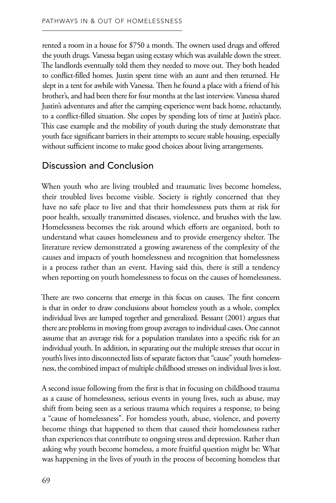rented a room in a house for \$750 a month. The owners used drugs and offered the youth drugs. Vanessa began using ecstasy which was available down the street. The landlords eventually told them they needed to move out. They both headed to conflict-filled homes. Justin spent time with an aunt and then returned. He slept in a tent for awhile with Vanessa. Then he found a place with a friend of his brother's, and had been there for four months at the last interview. Vanessa shared Justin's adventures and after the camping experience went back home, reluctantly, to a conflict-filled situation. She copes by spending lots of time at Justin's place. This case example and the mobility of youth during the study demonstrate that youth face significant barriers in their attempts to secure stable housing, especially without sufficient income to make good choices about living arrangements.

# Discussion and Conclusion

When youth who are living troubled and traumatic lives become homeless, their troubled lives become visible. Society is rightly concerned that they have no safe place to live and that their homelessness puts them at risk for poor health, sexually transmitted diseases, violence, and brushes with the law. Homelessness becomes the risk around which efforts are organized, both to understand what causes homelessness and to provide emergency shelter. The literature review demonstrated a growing awareness of the complexity of the causes and impacts of youth homelessness and recognition that homelessness is a process rather than an event. Having said this, there is still a tendency when reporting on youth homelessness to focus on the causes of homelessness.

There are two concerns that emerge in this focus on causes. The first concern is that in order to draw conclusions about homeless youth as a whole, complex individual lives are lumped together and generalized. Bessant (2001) argues that there are problems in moving from group averages to individual cases. One cannot assume that an average risk for a population translates into a specific risk for an individual youth. In addition, in separating out the multiple stresses that occur in youth's lives into disconnected lists of separate factors that "cause" youth homelessness, the combined impact of multiple childhood stresses on individual lives is lost.

A second issue following from the first is that in focusing on childhood trauma as a cause of homelessness, serious events in young lives, such as abuse, may shift from being seen as a serious trauma which requires a response, to being a "cause of homelessness". For homeless youth, abuse, violence, and poverty become things that happened to them that caused their homelessness rather than experiences that contribute to ongoing stress and depression. Rather than asking why youth become homeless, a more fruitful question might be: What was happening in the lives of youth in the process of becoming homeless that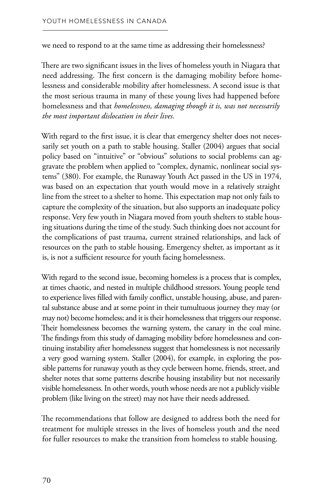we need to respond to at the same time as addressing their homelessness?

There are two significant issues in the lives of homeless youth in Niagara that need addressing. The first concern is the damaging mobility before homelessness and considerable mobility after homelessness. A second issue is that the most serious trauma in many of these young lives had happened before homelessness and that *homelessness, damaging though it is, was not necessarily the most important dislocation in their lives.* 

With regard to the first issue, it is clear that emergency shelter does not necessarily set youth on a path to stable housing. Staller (2004) argues that social policy based on "intuitive" or "obvious" solutions to social problems can aggravate the problem when applied to "complex, dynamic, nonlinear social systems" (380). For example, the Runaway Youth Act passed in the US in 1974, was based on an expectation that youth would move in a relatively straight line from the street to a shelter to home. This expectation map not only fails to capture the complexity of the situation, but also supports an inadequate policy response. Very few youth in Niagara moved from youth shelters to stable housing situations during the time of the study. Such thinking does not account for the complications of past trauma, current strained relationships, and lack of resources on the path to stable housing. Emergency shelter, as important as it is, is not a sufficient resource for youth facing homelessness.

With regard to the second issue, becoming homeless is a process that is complex, at times chaotic, and nested in multiple childhood stressors. Young people tend to experience lives filled with family conflict, unstable housing, abuse, and parental substance abuse and at some point in their tumultuous journey they may (or may not) become homeless; and it is their homelessness that triggers our response. Their homelessness becomes the warning system, the canary in the coal mine. The findings from this study of damaging mobility before homelessness and continuing instability after homelessness suggest that homelessness is not necessarily a very good warning system. Staller (2004), for example, in exploring the possible patterns for runaway youth as they cycle between home, friends, street, and shelter notes that some patterns describe housing instability but not necessarily visible homelessness. In other words, youth whose needs are not a publicly visible problem (like living on the street) may not have their needs addressed.

The recommendations that follow are designed to address both the need for treatment for multiple stresses in the lives of homeless youth and the need for fuller resources to make the transition from homeless to stable housing.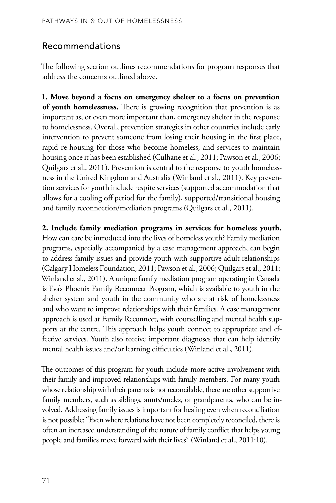## Recommendations

The following section outlines recommendations for program responses that address the concerns outlined above.

**1. Move beyond a focus on emergency shelter to a focus on prevention of youth homelessness.** There is growing recognition that prevention is as important as, or even more important than, emergency shelter in the response to homelessness. Overall, prevention strategies in other countries include early intervention to prevent someone from losing their housing in the first place, rapid re-housing for those who become homeless, and services to maintain housing once it has been established (Culhane et al., 2011; Pawson et al., 2006; Quilgars et al., 2011). Prevention is central to the response to youth homelessness in the United Kingdom and Australia (Winland et al., 2011). Key prevention services for youth include respite services (supported accommodation that allows for a cooling off period for the family), supported/transitional housing and family reconnection/mediation programs (Quilgars et al., 2011).

**2. Include family mediation programs in services for homeless youth.**  How can care be introduced into the lives of homeless youth? Family mediation programs, especially accompanied by a case management approach, can begin to address family issues and provide youth with supportive adult relationships (Calgary Homeless Foundation, 2011; Pawson et al., 2006; Quilgars et al., 2011; Winland et al., 2011). A unique family mediation program operating in Canada is Eva's Phoenix Family Reconnect Program, which is available to youth in the shelter system and youth in the community who are at risk of homelessness and who want to improve relationships with their families. A case management approach is used at Family Reconnect, with counselling and mental health supports at the centre. This approach helps youth connect to appropriate and effective services. Youth also receive important diagnoses that can help identify mental health issues and/or learning difficulties (Winland et al., 2011).

The outcomes of this program for youth include more active involvement with their family and improved relationships with family members. For many youth whose relationship with their parents is not reconcilable, there are other supportive family members, such as siblings, aunts/uncles, or grandparents, who can be involved. Addressing family issues is important for healing even when reconciliation is not possible: "Even where relations have not been completely reconciled, there is often an increased understanding of the nature of family conflict that helps young people and families move forward with their lives" (Winland et al., 2011:10).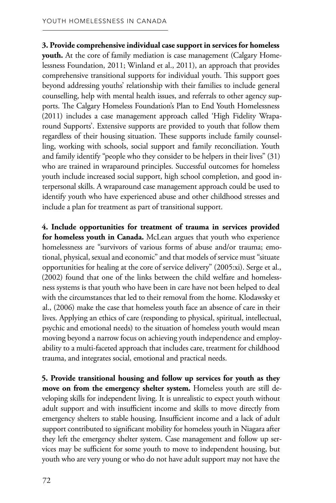#### **3. Provide comprehensive individual case support in services for homeless youth.** At the core of family mediation is case management (Calgary Homelessness Foundation, 2011; Winland et al., 2011), an approach that provides comprehensive transitional supports for individual youth. This support goes beyond addressing youths' relationship with their families to include general counselling, help with mental health issues, and referrals to other agency supports. The Calgary Homeless Foundation's Plan to End Youth Homelessness (2011) includes a case management approach called 'High Fidelity Wraparound Supports'. Extensive supports are provided to youth that follow them regardless of their housing situation. These supports include family counselling, working with schools, social support and family reconciliation. Youth and family identify "people who they consider to be helpers in their lives" (31) who are trained in wraparound principles. Successful outcomes for homeless youth include increased social support, high school completion, and good interpersonal skills. A wraparound case management approach could be used to identify youth who have experienced abuse and other childhood stresses and include a plan for treatment as part of transitional support.

**4. Include opportunities for treatment of trauma in services provided for homeless youth in Canada.** McLean argues that youth who experience homelessness are "survivors of various forms of abuse and/or trauma; emotional, physical, sexual and economic" and that models of service must "situate opportunities for healing at the core of service delivery" (2005:xi). Serge et al., (2002) found that one of the links between the child welfare and homelessness systems is that youth who have been in care have not been helped to deal with the circumstances that led to their removal from the home. Klodawsky et al., (2006) make the case that homeless youth face an absence of care in their lives. Applying an ethics of care (responding to physical, spiritual, intellectual, psychic and emotional needs) to the situation of homeless youth would mean moving beyond a narrow focus on achieving youth independence and employability to a multi-faceted approach that includes care, treatment for childhood trauma, and integrates social, emotional and practical needs.

**5. Provide transitional housing and follow up services for youth as they move on from the emergency shelter system.** Homeless youth are still developing skills for independent living. It is unrealistic to expect youth without adult support and with insufficient income and skills to move directly from emergency shelters to stable housing. Insufficient income and a lack of adult support contributed to significant mobility for homeless youth in Niagara after they left the emergency shelter system. Case management and follow up services may be sufficient for some youth to move to independent housing, but youth who are very young or who do not have adult support may not have the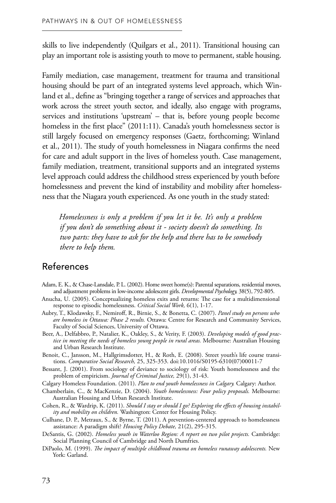skills to live independently (Quilgars et al., 2011). Transitional housing can play an important role is assisting youth to move to permanent, stable housing.

Family mediation, case management, treatment for trauma and transitional housing should be part of an integrated systems level approach, which Winland et al., define as "bringing together a range of services and approaches that work across the street youth sector, and ideally, also engage with programs, services and institutions 'upstream' – that is, before young people become homeless in the first place" (2011:11). Canada's youth homelessness sector is still largely focused on emergency responses (Gaetz, forthcoming; Winland et al., 2011). The study of youth homelessness in Niagara confirms the need for care and adult support in the lives of homeless youth. Case management, family mediation, treatment, transitional supports and an integrated systems level approach could address the childhood stress experienced by youth before homelessness and prevent the kind of instability and mobility after homelessness that the Niagara youth experienced. As one youth in the study stated:

*Homelessness is only a problem if you let it be. It's only a problem if you don't do something about it - society doesn't do something. Its two parts: they have to ask for the help and there has to be somebody there to help them.* 

## References

- Adam, E. K., & Chase-Lansdale, P. L. (2002). Home sweet home(s): Parental separations, residential moves, and adjustment problems in low-income adolescent girls. *Developmental Psychology,* 38(5), 792-805.
- Anucha, U. (2005). Conceptualizing homeless exits and returns: The case for a multidimensional response to episodic homelessness. *Critical Social Work,* 6(1), 1-17.
- Aubry, T., Klodawsky, F., Nemiroff, R., Birnie, S., & Bonetta, C. (2007). *Panel study on persons who are homeless in Ottawa: Phase 2 results.* Ottawa: Centre for Research and Community Services, Faculty of Social Sciences, University of Ottawa.
- Beer, A., Delfabbro, P., Natalier, K., Oakley, S., & Verity, F. (2003). *Developing models of good practice in meeting the needs of homeless young people in rural areas.* Melbourne: Australian Housing and Urban Research Institute.
- Benoit, C., Jansson, M., Hallgrimsdotter, H., & Roth, E. (2008). Street youth's life course transitions. *Comparative Social Research,* 25, 325-353. doi:10.1016/S0195-6310(07)00011-7
- Bessant, J. (2001). From sociology of deviance to sociology of risk: Youth homelessness and the problem of empiricism. *Journal of Criminal Justice,* 29(1), 31-43.
- Calgary Homeless Foundation. (2011). *Plan to end youth homelessness in Calgary.* Calgary: Author.
- Chamberlain, C., & MacKenzie, D. (2004). *Youth homelessness: Four policy proposals.* Melbourne: Australian Housing and Urban Research Institute.
- Cohen, R., & Wardrip, K. (2011). *Should I stay or should I go? Exploring the effects of housing instability and mobility on children.* Washington: Center for Housing Policy.
- Culhane, D. P., Metraux, S., & Byrne, T. (2011). A prevention-centered approach to homelessness assistance: A paradigm shift? *Housing Policy Debate,* 21(2), 295-315.
- DeSantis, G. (2002). *Homeless youth in Waterloo Region: A report on two pilot projects.* Cambridge: Social Planning Council of Cambridge and North Dumfries.
- DiPaolo, M. (1999). *The impact of multiple childhood trauma on homeless runaway adolescents.* New York: Garland.